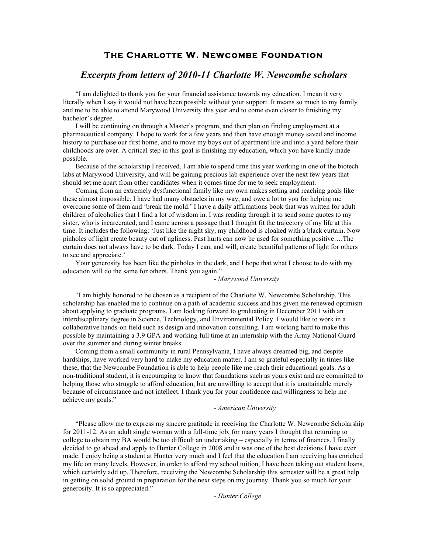# **The Charlotte W. Newcombe Foundation**

# *Excerpts from letters of 2010-11 Charlotte W. Newcombe scholars*

"I am delighted to thank you for your financial assistance towards my education. I mean it very literally when I say it would not have been possible without your support. It means so much to my family and me to be able to attend Marywood University this year and to come even closer to finishing my bachelor's degree.

I will be continuing on through a Master's program, and then plan on finding employment at a pharmaceutical company. I hope to work for a few years and then have enough money saved and income history to purchase our first home, and to move my boys out of apartment life and into a yard before their childhoods are over. A critical step in this goal is finishing my education, which you have kindly made possible.

Because of the scholarship I received, I am able to spend time this year working in one of the biotech labs at Marywood University, and will be gaining precious lab experience over the next few years that should set me apart from other candidates when it comes time for me to seek employment.

Coming from an extremely dysfunctional family like my own makes setting and reaching goals like these almost impossible. I have had many obstacles in my way, and owe a lot to you for helping me overcome some of them and 'break the mold.' I have a daily affirmations book that was written for adult children of alcoholics that I find a lot of wisdom in. I was reading through it to send some quotes to my sister, who is incarcerated, and I came across a passage that I thought fit the trajectory of my life at this time. It includes the following: 'Just like the night sky, my childhood is cloaked with a black curtain. Now pinholes of light create beauty out of ugliness. Past hurts can now be used for something positive….The curtain does not always have to be dark. Today I can, and will, create beautiful patterns of light for others to see and appreciate.'

Your generosity has been like the pinholes in the dark, and I hope that what I choose to do with my education will do the same for others. Thank you again."

#### - *Marywood University*

"I am highly honored to be chosen as a recipient of the Charlotte W. Newcombe Scholarship. This scholarship has enabled me to continue on a path of academic success and has given me renewed optimism about applying to graduate programs. I am looking forward to graduating in December 2011 with an interdisciplinary degree in Science, Technology, and Environmental Policy. I would like to work in a collaborative hands-on field such as design and innovation consulting. I am working hard to make this possible by maintaining a 3.9 GPA and working full time at an internship with the Army National Guard over the summer and during winter breaks.

Coming from a small community in rural Pennsylvania, I have always dreamed big, and despite hardships, have worked very hard to make my education matter. I am so grateful especially in times like these, that the Newcombe Foundation is able to help people like me reach their educational goals. As a non-traditional student, it is encouraging to know that foundations such as yours exist and are committed to helping those who struggle to afford education, but are unwilling to accept that it is unattainable merely because of circumstance and not intellect. I thank you for your confidence and willingness to help me achieve my goals."

#### *- American University*

"Please allow me to express my sincere gratitude in receiving the Charlotte W. Newcombe Scholarship for 2011-12. As an adult single woman with a full-time job, for many years I thought that returning to college to obtain my BA would be too difficult an undertaking – especially in terms of finances. I finally decided to go ahead and apply to Hunter College in 2008 and it was one of the best decisions I have ever made. I enjoy being a student at Hunter very much and I feel that the education I am receiving has enriched my life on many levels. However, in order to afford my school tuition, I have been taking out student loans, which certainly add up. Therefore, receiving the Newcombe Scholarship this semester will be a great help in getting on solid ground in preparation for the next steps on my journey. Thank you so much for your generosity. It is so appreciated."

*- Hunter College*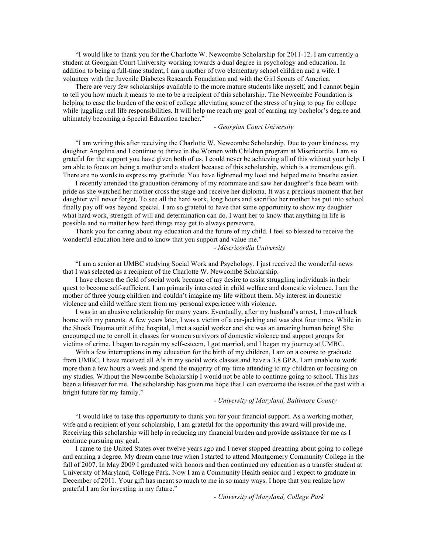"I would like to thank you for the Charlotte W. Newcombe Scholarship for 2011-12. I am currently a student at Georgian Court University working towards a dual degree in psychology and education. In addition to being a full-time student, I am a mother of two elementary school children and a wife. I volunteer with the Juvenile Diabetes Research Foundation and with the Girl Scouts of America.

There are very few scholarships available to the more mature students like myself, and I cannot begin to tell you how much it means to me to be a recipient of this scholarship. The Newcombe Foundation is helping to ease the burden of the cost of college alleviating some of the stress of trying to pay for college while juggling real life responsibilities. It will help me reach my goal of earning my bachelor's degree and ultimately becoming a Special Education teacher."

## *- Georgian Court University*

"I am writing this after receiving the Charlotte W. Newcombe Scholarship. Due to your kindness, my daughter Angelina and I continue to thrive in the Women with Children program at Misericordia. I am so grateful for the support you have given both of us. I could never be achieving all of this without your help. I am able to focus on being a mother and a student because of this scholarship, which is a tremendous gift. There are no words to express my gratitude. You have lightened my load and helped me to breathe easier.

I recently attended the graduation ceremony of my roommate and saw her daughter's face beam with pride as she watched her mother cross the stage and receive her diploma. It was a precious moment that her daughter will never forget. To see all the hard work, long hours and sacrifice her mother has put into school finally pay off was beyond special. I am so grateful to have that same opportunity to show my daughter what hard work, strength of will and determination can do. I want her to know that anything in life is possible and no matter how hard things may get to always persevere.

Thank you for caring about my education and the future of my child. I feel so blessed to receive the wonderful education here and to know that you support and value me."

#### - *Misericordia University*

"I am a senior at UMBC studying Social Work and Psychology. I just received the wonderful news that I was selected as a recipient of the Charlotte W. Newcombe Scholarship.

I have chosen the field of social work because of my desire to assist struggling individuals in their quest to become self-sufficient. I am primarily interested in child welfare and domestic violence. I am the mother of three young children and couldn't imagine my life without them. My interest in domestic violence and child welfare stem from my personal experience with violence.

I was in an abusive relationship for many years. Eventually, after my husband's arrest, I moved back home with my parents. A few years later, I was a victim of a car-jacking and was shot four times. While in the Shock Trauma unit of the hospital, I met a social worker and she was an amazing human being! She encouraged me to enroll in classes for women survivors of domestic violence and support groups for victims of crime. I began to regain my self-esteem, I got married, and I began my journey at UMBC.

With a few interruptions in my education for the birth of my children, I am on a course to graduate from UMBC. I have received all A's in my social work classes and have a 3.8 GPA. I am unable to work more than a few hours a week and spend the majority of my time attending to my children or focusing on my studies. Without the Newcombe Scholarship I would not be able to continue going to school. This has been a lifesaver for me. The scholarship has given me hope that I can overcome the issues of the past with a bright future for my family."

### *- University of Maryland, Baltimore County*

"I would like to take this opportunity to thank you for your financial support. As a working mother, wife and a recipient of your scholarship, I am grateful for the opportunity this award will provide me. Receiving this scholarship will help in reducing my financial burden and provide assistance for me as I continue pursuing my goal.

I came to the United States over twelve years ago and I never stopped dreaming about going to college and earning a degree. My dream came true when I started to attend Montgomery Community College in the fall of 2007. In May 2009 I graduated with honors and then continued my education as a transfer student at University of Maryland, College Park. Now I am a Community Health senior and I expect to graduate in December of 2011. Your gift has meant so much to me in so many ways. I hope that you realize how grateful I am for investing in my future."

*- University of Maryland, College Park*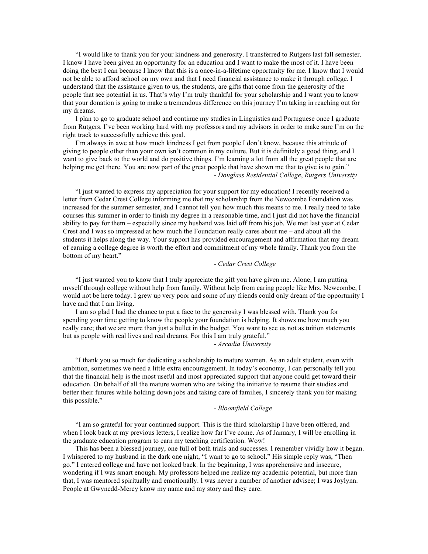"I would like to thank you for your kindness and generosity. I transferred to Rutgers last fall semester. I know I have been given an opportunity for an education and I want to make the most of it. I have been doing the best I can because I know that this is a once-in-a-lifetime opportunity for me. I know that I would not be able to afford school on my own and that I need financial assistance to make it through college. I understand that the assistance given to us, the students, are gifts that come from the generosity of the people that see potential in us. That's why I'm truly thankful for your scholarship and I want you to know that your donation is going to make a tremendous difference on this journey I'm taking in reaching out for my dreams.

I plan to go to graduate school and continue my studies in Linguistics and Portuguese once I graduate from Rutgers. I've been working hard with my professors and my advisors in order to make sure I'm on the right track to successfully achieve this goal.

I'm always in awe at how much kindness I get from people I don't know, because this attitude of giving to people other than your own isn't common in my culture. But it is definitely a good thing, and I want to give back to the world and do positive things. I'm learning a lot from all the great people that are helping me get there. You are now part of the great people that have shown me that to give is to gain." - *Douglass Residential College*, *Rutgers University*

"I just wanted to express my appreciation for your support for my education! I recently received a letter from Cedar Crest College informing me that my scholarship from the Newcombe Foundation was increased for the summer semester, and I cannot tell you how much this means to me. I really need to take courses this summer in order to finish my degree in a reasonable time, and I just did not have the financial ability to pay for them – especially since my husband was laid off from his job. We met last year at Cedar Crest and I was so impressed at how much the Foundation really cares about me – and about all the students it helps along the way. Your support has provided encouragement and affirmation that my dream of earning a college degree is worth the effort and commitment of my whole family. Thank you from the bottom of my heart."

### - *Cedar Crest College*

"I just wanted you to know that I truly appreciate the gift you have given me. Alone, I am putting myself through college without help from family. Without help from caring people like Mrs. Newcombe, I would not be here today. I grew up very poor and some of my friends could only dream of the opportunity I have and that I am living.

I am so glad I had the chance to put a face to the generosity I was blessed with. Thank you for spending your time getting to know the people your foundation is helping. It shows me how much you really care; that we are more than just a bullet in the budget. You want to see us not as tuition statements but as people with real lives and real dreams. For this I am truly grateful."

- *Arcadia University*

"I thank you so much for dedicating a scholarship to mature women. As an adult student, even with ambition, sometimes we need a little extra encouragement. In today's economy, I can personally tell you that the financial help is the most useful and most appreciated support that anyone could get toward their education. On behalf of all the mature women who are taking the initiative to resume their studies and better their futures while holding down jobs and taking care of families, I sincerely thank you for making this possible."

## *- Bloomfield College*

"I am so grateful for your continued support. This is the third scholarship I have been offered, and when I look back at my previous letters, I realize how far I've come. As of January, I will be enrolling in the graduate education program to earn my teaching certification. Wow!

This has been a blessed journey, one full of both trials and successes. I remember vividly how it began. I whispered to my husband in the dark one night, "I want to go to school." His simple reply was, "Then go." I entered college and have not looked back. In the beginning, I was apprehensive and insecure, wondering if I was smart enough. My professors helped me realize my academic potential, but more than that, I was mentored spiritually and emotionally. I was never a number of another advisee; I was Joylynn. People at Gwynedd-Mercy know my name and my story and they care.